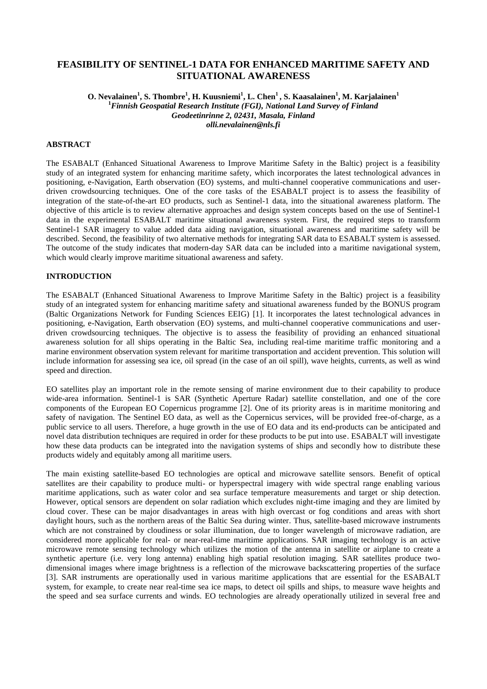# **FEASIBILITY OF SENTINEL-1 DATA FOR ENHANCED MARITIME SAFETY AND SITUATIONAL AWARENESS**

**O. Nevalainen<sup>1</sup> , S. Thombre<sup>1</sup> , H. Kuusniemi<sup>1</sup> , L. Chen<sup>1</sup>, S. Kaasalainen<sup>1</sup> , M. Karjalainen<sup>1</sup> <sup>1</sup>***Finnish Geospatial Research Institute (FGI), National Land Survey of Finland Geodeetinrinne 2, 02431, Masala, Finland olli.nevalainen@nls.fi*

### **ABSTRACT**

The ESABALT (Enhanced Situational Awareness to Improve Maritime Safety in the Baltic) project is a feasibility study of an integrated system for enhancing maritime safety, which incorporates the latest technological advances in positioning, e-Navigation, Earth observation (EO) systems, and multi-channel cooperative communications and userdriven crowdsourcing techniques. One of the core tasks of the ESABALT project is to assess the feasibility of integration of the state-of-the-art EO products, such as Sentinel-1 data, into the situational awareness platform. The objective of this article is to review alternative approaches and design system concepts based on the use of Sentinel-1 data in the experimental ESABALT maritime situational awareness system. First, the required steps to transform Sentinel-1 SAR imagery to value added data aiding navigation, situational awareness and maritime safety will be described. Second, the feasibility of two alternative methods for integrating SAR data to ESABALT system is assessed. The outcome of the study indicates that modern-day SAR data can be included into a maritime navigational system, which would clearly improve maritime situational awareness and safety.

### **INTRODUCTION**

The ESABALT (Enhanced Situational Awareness to Improve Maritime Safety in the Baltic) project is a feasibility study of an integrated system for enhancing maritime safety and situational awareness funded by the BONUS program (Baltic Organizations Network for Funding Sciences EEIG) [1]. It incorporates the latest technological advances in positioning, e-Navigation, Earth observation (EO) systems, and multi-channel cooperative communications and userdriven crowdsourcing techniques. The objective is to assess the feasibility of providing an enhanced situational awareness solution for all ships operating in the Baltic Sea, including real-time maritime traffic monitoring and a marine environment observation system relevant for maritime transportation and accident prevention. This solution will include information for assessing sea ice, oil spread (in the case of an oil spill), wave heights, currents, as well as wind speed and direction.

EO satellites play an important role in the remote sensing of marine environment due to their capability to produce wide-area information. Sentinel-1 is SAR (Synthetic Aperture Radar) satellite constellation, and one of the core components of the European EO Copernicus programme [2]. One of its priority areas is in maritime monitoring and safety of navigation. The Sentinel EO data, as well as the Copernicus services, will be provided free-of-charge, as a public service to all users. Therefore, a huge growth in the use of EO data and its end-products can be anticipated and novel data distribution techniques are required in order for these products to be put into use. ESABALT will investigate how these data products can be integrated into the navigation systems of ships and secondly how to distribute these products widely and equitably among all maritime users.

The main existing satellite-based EO technologies are optical and microwave satellite sensors. Benefit of optical satellites are their capability to produce multi- or hyperspectral imagery with wide spectral range enabling various maritime applications, such as water color and sea surface temperature measurements and target or ship detection. However, optical sensors are dependent on solar radiation which excludes night-time imaging and they are limited by cloud cover. These can be major disadvantages in areas with high overcast or fog conditions and areas with short daylight hours, such as the northern areas of the Baltic Sea during winter. Thus, satellite-based microwave instruments which are not constrained by cloudiness or solar illumination, due to longer wavelength of microwave radiation, are considered more applicable for real- or near-real-time maritime applications. SAR imaging technology is an active microwave remote sensing technology which utilizes the motion of the antenna in satellite or airplane to create a synthetic aperture (i.e. very long antenna) enabling high spatial resolution imaging. SAR satellites produce twodimensional images where image brightness is a reflection of the microwave backscattering properties of the surface [3]. SAR instruments are operationally used in various maritime applications that are essential for the ESABALT system, for example, to create near real-time sea ice maps, to detect oil spills and ships, to measure wave heights and the speed and sea surface currents and winds. EO technologies are already operationally utilized in several free and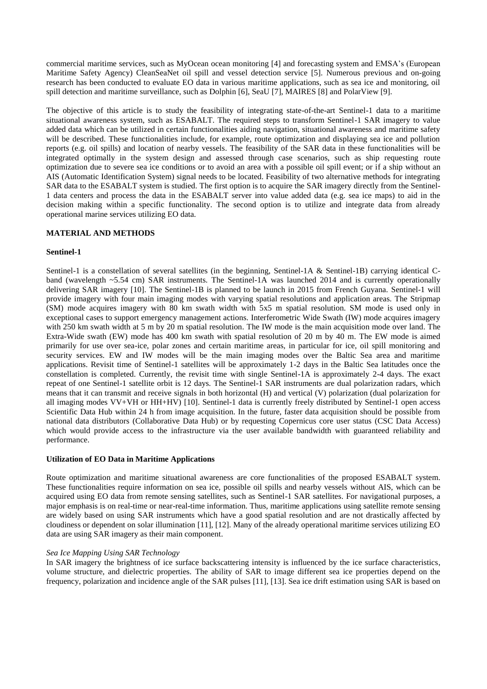commercial maritime services, such as MyOcean ocean monitoring [4] and forecasting system and EMSA's (European Maritime Safety Agency) CleanSeaNet oil spill and vessel detection service [5]. Numerous previous and on-going research has been conducted to evaluate EO data in various maritime applications, such as sea ice and monitoring, oil spill detection and maritime surveillance, such as Dolphin [6], SeaU [7], MAIRES [8] and PolarView [9].

The objective of this article is to study the feasibility of integrating state-of-the-art Sentinel-1 data to a maritime situational awareness system, such as ESABALT. The required steps to transform Sentinel-1 SAR imagery to value added data which can be utilized in certain functionalities aiding navigation, situational awareness and maritime safety will be described. These functionalities include, for example, route optimization and displaying sea ice and pollution reports (e.g. oil spills) and location of nearby vessels. The feasibility of the SAR data in these functionalities will be integrated optimally in the system design and assessed through case scenarios, such as ship requesting route optimization due to severe sea ice conditions or to avoid an area with a possible oil spill event; or if a ship without an AIS (Automatic Identification System) signal needs to be located. Feasibility of two alternative methods for integrating SAR data to the ESABALT system is studied. The first option is to acquire the SAR imagery directly from the Sentinel-1 data centers and process the data in the ESABALT server into value added data (e.g. sea ice maps) to aid in the decision making within a specific functionality. The second option is to utilize and integrate data from already operational marine services utilizing EO data.

### **MATERIAL AND METHODS**

### **Sentinel-1**

Sentinel-1 is a constellation of several satellites (in the beginning, Sentinel-1A & Sentinel-1B) carrying identical Cband (wavelength ~5.54 cm) SAR instruments. The Sentinel-1A was launched 2014 and is currently operationally delivering SAR imagery [10]. The Sentinel-1B is planned to be launch in 2015 from French Guyana. Sentinel-1 will provide imagery with four main imaging modes with varying spatial resolutions and application areas. The Stripmap (SM) mode acquires imagery with 80 km swath width with 5x5 m spatial resolution. SM mode is used only in exceptional cases to support emergency management actions. Interferometric Wide Swath (IW) mode acquires imagery with 250 km swath width at 5 m by 20 m spatial resolution. The IW mode is the main acquisition mode over land. The Extra-Wide swath (EW) mode has 400 km swath with spatial resolution of 20 m by 40 m. The EW mode is aimed primarily for use over sea-ice, polar zones and certain maritime areas, in particular for ice, oil spill monitoring and security services. EW and IW modes will be the main imaging modes over the Baltic Sea area and maritime applications. Revisit time of Sentinel-1 satellites will be approximately 1-2 days in the Baltic Sea latitudes once the constellation is completed. Currently, the revisit time with single Sentinel-1A is approximately 2-4 days. The exact repeat of one Sentinel-1 satellite orbit is 12 days. The Sentinel-1 SAR instruments are dual polarization radars, which means that it can transmit and receive signals in both horizontal (H) and vertical (V) polarization (dual polarization for all imaging modes VV+VH or HH+HV) [10]. Sentinel-1 data is currently freely distributed by Sentinel-1 open access Scientific Data Hub within 24 h from image acquisition. In the future, faster data acquisition should be possible from national data distributors (Collaborative Data Hub) or by requesting Copernicus core user status (CSC Data Access) which would provide access to the infrastructure via the user available bandwidth with guaranteed reliability and performance.

#### **Utilization of EO Data in Maritime Applications**

Route optimization and maritime situational awareness are core functionalities of the proposed ESABALT system. These functionalities require information on sea ice, possible oil spills and nearby vessels without AIS, which can be acquired using EO data from remote sensing satellites, such as Sentinel-1 SAR satellites. For navigational purposes, a major emphasis is on real-time or near-real-time information. Thus, maritime applications using satellite remote sensing are widely based on using SAR instruments which have a good spatial resolution and are not drastically affected by cloudiness or dependent on solar illumination [11], [12]. Many of the already operational maritime services utilizing EO data are using SAR imagery as their main component.

### *Sea Ice Mapping Using SAR Technology*

In SAR imagery the brightness of ice surface backscattering intensity is influenced by the ice surface characteristics, volume structure, and dielectric properties. The ability of SAR to image different sea ice properties depend on the frequency, polarization and incidence angle of the SAR pulses [11], [13]. Sea ice drift estimation using SAR is based on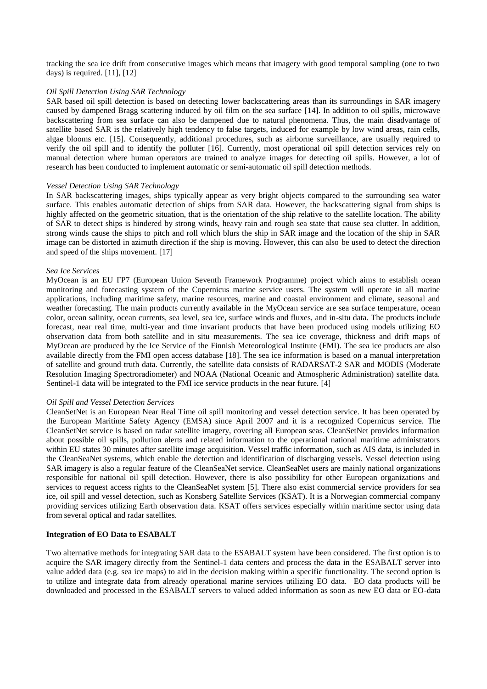tracking the sea ice drift from consecutive images which means that imagery with good temporal sampling (one to two days) is required. [11], [12]

#### *Oil Spill Detection Using SAR Technology*

SAR based oil spill detection is based on detecting lower backscattering areas than its surroundings in SAR imagery caused by dampened Bragg scattering induced by oil film on the sea surface [14]. In addition to oil spills, microwave backscattering from sea surface can also be dampened due to natural phenomena. Thus, the main disadvantage of satellite based SAR is the relatively high tendency to false targets, induced for example by low wind areas, rain cells, algae blooms etc. [15]. Consequently, additional procedures, such as airborne surveillance, are usually required to verify the oil spill and to identify the polluter [16]. Currently, most operational oil spill detection services rely on manual detection where human operators are trained to analyze images for detecting oil spills. However, a lot of research has been conducted to implement automatic or semi-automatic oil spill detection methods.

#### *Vessel Detection Using SAR Technology*

In SAR backscattering images, ships typically appear as very bright objects compared to the surrounding sea water surface. This enables automatic detection of ships from SAR data. However, the backscattering signal from ships is highly affected on the geometric situation, that is the orientation of the ship relative to the satellite location. The ability of SAR to detect ships is hindered by strong winds, heavy rain and rough sea state that cause sea clutter. In addition, strong winds cause the ships to pitch and roll which blurs the ship in SAR image and the location of the ship in SAR image can be distorted in azimuth direction if the ship is moving. However, this can also be used to detect the direction and speed of the ships movement. [17]

#### *Sea Ice Services*

MyOcean is an EU FP7 (European Union Seventh Framework Programme) project which aims to establish ocean monitoring and forecasting system of the Copernicus marine service users. The system will operate in all marine applications, including maritime safety, marine resources, marine and coastal environment and climate, seasonal and weather forecasting. The main products currently available in the MyOcean service are sea surface temperature, ocean color, ocean salinity, ocean currents, sea level, sea ice, surface winds and fluxes, and in-situ data. The products include forecast, near real time, multi-year and time invariant products that have been produced using models utilizing EO observation data from both satellite and in situ measurements. The sea ice coverage, thickness and drift maps of MyOcean are produced by the Ice Service of the Finnish Meteorological Institute (FMI). The sea ice products are also available directly from the FMI open access database [18]. The sea ice information is based on a manual interpretation of satellite and ground truth data. Currently, the satellite data consists of RADARSAT-2 SAR and MODIS (Moderate Resolution Imaging Spectroradiometer) and NOAA (National Oceanic and Atmospheric Administration) satellite data. Sentinel-1 data will be integrated to the FMI ice service products in the near future. [4]

#### *Oil Spill and Vessel Detection Services*

CleanSetNet is an European Near Real Time oil spill monitoring and vessel detection service. It has been operated by the European Maritime Safety Agency (EMSA) since April 2007 and it is a recognized Copernicus service. The CleanSetNet service is based on radar satellite imagery, covering all European seas. CleanSetNet provides information about possible oil spills, pollution alerts and related information to the operational national maritime administrators within EU states 30 minutes after satellite image acquisition. Vessel traffic information, such as AIS data, is included in the CleanSeaNet systems, which enable the detection and identification of discharging vessels. Vessel detection using SAR imagery is also a regular feature of the CleanSeaNet service. CleanSeaNet users are mainly national organizations responsible for national oil spill detection. However, there is also possibility for other European organizations and services to request access rights to the CleanSeaNet system [5]. There also exist commercial service providers for sea ice, oil spill and vessel detection, such as Konsberg Satellite Services (KSAT). It is a Norwegian commercial company providing services utilizing Earth observation data. KSAT offers services especially within maritime sector using data from several optical and radar satellites.

# **Integration of EO Data to ESABALT**

Two alternative methods for integrating SAR data to the ESABALT system have been considered. The first option is to acquire the SAR imagery directly from the Sentinel-1 data centers and process the data in the ESABALT server into value added data (e.g. sea ice maps) to aid in the decision making within a specific functionality. The second option is to utilize and integrate data from already operational marine services utilizing EO data. EO data products will be downloaded and processed in the ESABALT servers to valued added information as soon as new EO data or EO-data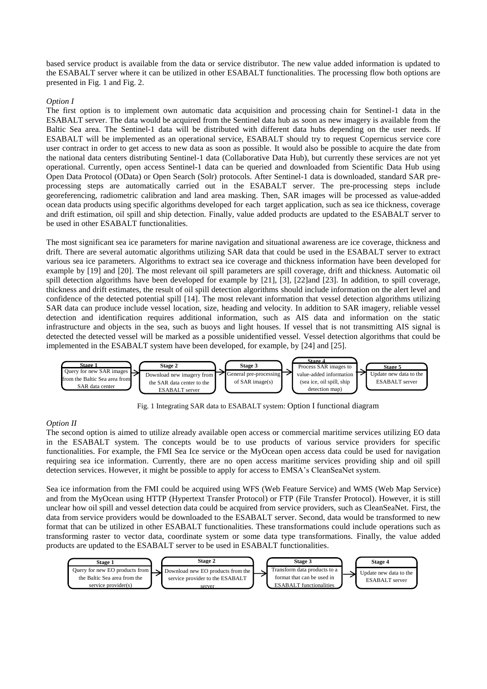based service product is available from the data or service distributor. The new value added information is updated to the ESABALT server where it can be utilized in other ESABALT functionalities. The processing flow both options are presented in Fig. 1 and Fig. 2.

## *Option I*

The first option is to implement own automatic data acquisition and processing chain for Sentinel-1 data in the ESABALT server. The data would be acquired from the Sentinel data hub as soon as new imagery is available from the Baltic Sea area. The Sentinel-1 data will be distributed with different data hubs depending on the user needs. If ESABALT will be implemented as an operational service, ESABALT should try to request Copernicus service core user contract in order to get access to new data as soon as possible. It would also be possible to acquire the date from the national data centers distributing Sentinel-1 data (Collaborative Data Hub), but currently these services are not yet operational. Currently, open access Sentinel-1 data can be queried and downloaded from Scientific Data Hub using Open Data Protocol (OData) or Open Search (Solr) protocols. After Sentinel-1 data is downloaded, standard SAR preprocessing steps are automatically carried out in the ESABALT server. The pre-processing steps include georeferencing, radiometric calibration and land area masking. Then, SAR images will be processed as value-added ocean data products using specific algorithms developed for each target application, such as sea ice thickness, coverage and drift estimation, oil spill and ship detection. Finally, value added products are updated to the ESABALT server to be used in other ESABALT functionalities.

The most significant sea ice parameters for marine navigation and situational awareness are ice coverage, thickness and drift. There are several automatic algorithms utilizing SAR data that could be used in the ESABALT server to extract various sea ice parameters. Algorithms to extract sea ice coverage and thickness information have been developed for example by [19] and [20]. The most relevant oil spill parameters are spill coverage, drift and thickness. Automatic oil spill detection algorithms have been developed for example by [21], [3], [22]and [23]. In addition, to spill coverage, thickness and drift estimates, the result of oil spill detection algorithms should include information on the alert level and confidence of the detected potential spill [14]. The most relevant information that vessel detection algorithms utilizing SAR data can produce include vessel location, size, heading and velocity. In addition to SAR imagery, reliable vessel detection and identification requires additional information, such as AIS data and information on the static infrastructure and objects in the sea, such as buoys and light houses. If vessel that is not transmitting AIS signal is detected the detected vessel will be marked as a possible unidentified vessel. Vessel detection algorithms that could be implemented in the ESABALT system have been developed, for example, by [24] and [25].



Fig. 1 Integrating SAR data to ESABALT system: Option I functional diagram

# *Option II*

The second option is aimed to utilize already available open access or commercial maritime services utilizing EO data in the ESABALT system. The concepts would be to use products of various service providers for specific functionalities. For example, the FMI Sea Ice service or the MyOcean open access data could be used for navigation requiring sea ice information. Currently, there are no open access maritime services providing ship and oil spill detection services. However, it might be possible to apply for access to EMSA's CleanSeaNet system.

Sea ice information from the FMI could be acquired using WFS (Web Feature Service) and WMS (Web Map Service) and from the MyOcean using HTTP (Hypertext Transfer Protocol) or FTP (File Transfer Protocol). However, it is still unclear how oil spill and vessel detection data could be acquired from service providers, such as CleanSeaNet. First, the data from service providers would be downloaded to the ESABALT server. Second, data would be transformed to new format that can be utilized in other ESABALT functionalities. These transformations could include operations such as transforming raster to vector data, coordinate system or some data type transformations. Finally, the value added products are updated to the ESABALT server to be used in ESABALT functionalities.

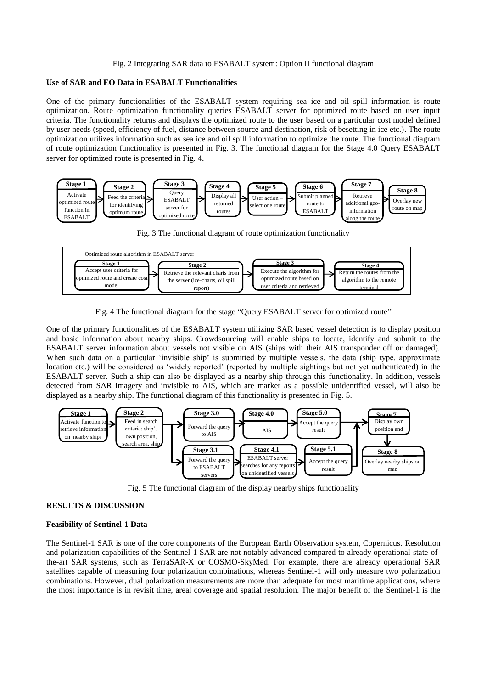#### Fig. 2 Integrating SAR data to ESABALT system: Option II functional diagram

#### **Use of SAR and EO Data in ESABALT Functionalities**

One of the primary functionalities of the ESABALT system requiring sea ice and oil spill information is route optimization. Route optimization functionality queries ESABALT server for optimized route based on user input criteria. The functionality returns and displays the optimized route to the user based on a particular cost model defined by user needs (speed, efficiency of fuel, distance between source and destination, risk of besetting in ice etc.). The route optimization utilizes information such as sea ice and oil spill information to optimize the route. The functional diagram of route optimization functionality is presented in [Fig. 3.](#page-4-0) The functional diagram for the Stage 4.0 Query ESABALT server for optimized route is presented in [Fig. 4](#page-4-1).



Fig. 3 The functional diagram of route optimization functionality

<span id="page-4-0"></span>

Fig. 4 The functional diagram for the stage "Query ESABALT server for optimized route"

<span id="page-4-1"></span>One of the primary functionalities of the ESABALT system utilizing SAR based vessel detection is to display position and basic information about nearby ships. Crowdsourcing will enable ships to locate, identify and submit to the ESABALT server information about vessels not visible on AIS (ships with their AIS transponder off or damaged). When such data on a particular 'invisible ship' is submitted by multiple vessels, the data (ship type, approximate location etc.) will be considered as 'widely reported' (reported by multiple sightings but not yet authenticated) in the ESABALT server. Such a ship can also be displayed as a nearby ship through this functionality. In addition, vessels detected from SAR imagery and invisible to AIS, which are marker as a possible unidentified vessel, will also be displayed as a nearby ship. The functional diagram of this functionality is presented in [Fig. 5.](#page-4-2)



Fig. 5 The functional diagram of the display nearby ships functionality

### <span id="page-4-2"></span>**RESULTS & DISCUSSION**

### **Feasibility of Sentinel-1 Data**

The Sentinel-1 SAR is one of the core components of the European Earth Observation system, Copernicus. Resolution and polarization capabilities of the Sentinel-1 SAR are not notably advanced compared to already operational state-ofthe-art SAR systems, such as TerraSAR-X or COSMO-SkyMed. For example, there are already operational SAR satellites capable of measuring four polarization combinations, whereas Sentinel-1 will only measure two polarization combinations. However, dual polarization measurements are more than adequate for most maritime applications, where the most importance is in revisit time, areal coverage and spatial resolution. The major benefit of the Sentinel-1 is the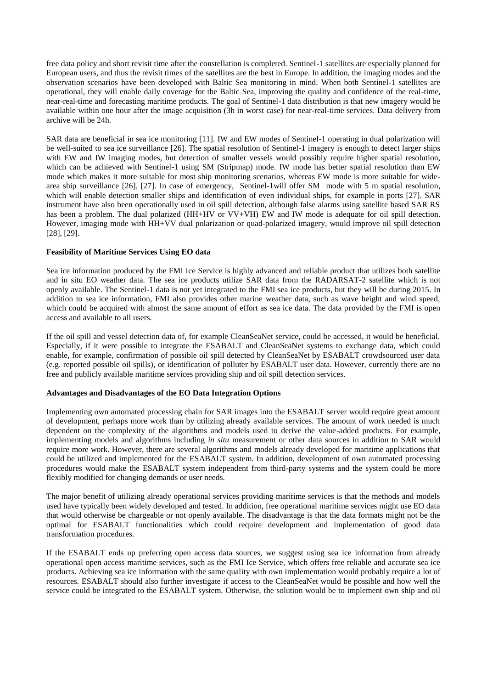free data policy and short revisit time after the constellation is completed. Sentinel-1 satellites are especially planned for European users, and thus the revisit times of the satellites are the best in Europe. In addition, the imaging modes and the observation scenarios have been developed with Baltic Sea monitoring in mind. When both Sentinel-1 satellites are operational, they will enable daily coverage for the Baltic Sea, improving the quality and confidence of the real-time, near-real-time and forecasting maritime products. The goal of Sentinel-1 data distribution is that new imagery would be available within one hour after the image acquisition (3h in worst case) for near-real-time services. Data delivery from archive will be 24h.

SAR data are beneficial in sea ice monitoring [11]. IW and EW modes of Sentinel-1 operating in dual polarization will be well-suited to sea ice surveillance [26]. The spatial resolution of Sentinel-1 imagery is enough to detect larger ships with EW and IW imaging modes, but detection of smaller vessels would possibly require higher spatial resolution, which can be achieved with Sentinel-1 using SM (Stripmap) mode. IW mode has better spatial resolution than EW mode which makes it more suitable for most ship monitoring scenarios, whereas EW mode is more suitable for widearea ship surveillance [26], [27]. In case of emergency, Sentinel-1will offer SM mode with 5 m spatial resolution, which will enable detection smaller ships and identification of even individual ships, for example in ports [27]. SAR instrument have also been operationally used in oil spill detection, although false alarms using satellite based SAR RS has been a problem. The dual polarized (HH+HV or VV+VH) EW and IW mode is adequate for oil spill detection. However, imaging mode with HH+VV dual polarization or quad-polarized imagery, would improve oil spill detection [28], [29].

# **Feasibility of Maritime Services Using EO data**

Sea ice information produced by the FMI Ice Service is highly advanced and reliable product that utilizes both satellite and in situ EO weather data. The sea ice products utilize SAR data from the RADARSAT-2 satellite which is not openly available. The Sentinel-1 data is not yet integrated to the FMI sea ice products, but they will be during 2015. In addition to sea ice information, FMI also provides other marine weather data, such as wave height and wind speed, which could be acquired with almost the same amount of effort as sea ice data. The data provided by the FMI is open access and available to all users.

If the oil spill and vessel detection data of, for example CleanSeaNet service, could be accessed, it would be beneficial. Especially, if it were possible to integrate the ESABALT and CleanSeaNet systems to exchange data, which could enable, for example, confirmation of possible oil spill detected by CleanSeaNet by ESABALT crowdsourced user data (e.g. reported possible oil spills), or identification of polluter by ESABALT user data. However, currently there are no free and publicly available maritime services providing ship and oil spill detection services.

### **Advantages and Disadvantages of the EO Data Integration Options**

Implementing own automated processing chain for SAR images into the ESABALT server would require great amount of development, perhaps more work than by utilizing already available services. The amount of work needed is much dependent on the complexity of the algorithms and models used to derive the value-added products. For example, implementing models and algorithms including *in situ* measurement or other data sources in addition to SAR would require more work. However, there are several algorithms and models already developed for maritime applications that could be utilized and implemented for the ESABALT system. In addition, development of own automated processing procedures would make the ESABALT system independent from third-party systems and the system could be more flexibly modified for changing demands or user needs.

The major benefit of utilizing already operational services providing maritime services is that the methods and models used have typically been widely developed and tested. In addition, free operational maritime services might use EO data that would otherwise be chargeable or not openly available. The disadvantage is that the data formats might not be the optimal for ESABALT functionalities which could require development and implementation of good data transformation procedures.

If the ESABALT ends up preferring open access data sources, we suggest using sea ice information from already operational open access maritime services, such as the FMI Ice Service, which offers free reliable and accurate sea ice products. Achieving sea ice information with the same quality with own implementation would probably require a lot of resources. ESABALT should also further investigate if access to the CleanSeaNet would be possible and how well the service could be integrated to the ESABALT system. Otherwise, the solution would be to implement own ship and oil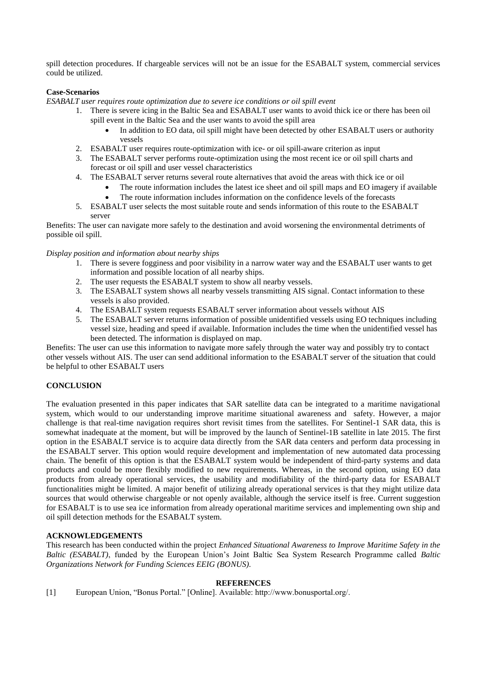spill detection procedures. If chargeable services will not be an issue for the ESABALT system, commercial services could be utilized.

# **Case-Scenarios**

*ESABALT user requires route optimization due to severe ice conditions or oil spill event*

- 1. There is severe icing in the Baltic Sea and ESABALT user wants to avoid thick ice or there has been oil spill event in the Baltic Sea and the user wants to avoid the spill area
	- In addition to EO data, oil spill might have been detected by other ESABALT users or authority vessels
- 2. ESABALT user requires route-optimization with ice- or oil spill-aware criterion as input
- 3. The ESABALT server performs route-optimization using the most recent ice or oil spill charts and forecast or oil spill and user vessel characteristics
- 4. The ESABALT server returns several route alternatives that avoid the areas with thick ice or oil
	- The route information includes the latest ice sheet and oil spill maps and EO imagery if available
	- The route information includes information on the confidence levels of the forecasts
- 5. ESABALT user selects the most suitable route and sends information of this route to the ESABALT server

Benefits: The user can navigate more safely to the destination and avoid worsening the environmental detriments of possible oil spill.

# *Display position and information about nearby ships*

- 1. There is severe fogginess and poor visibility in a narrow water way and the ESABALT user wants to get information and possible location of all nearby ships.
- 2. The user requests the ESABALT system to show all nearby vessels.
- 3. The ESABALT system shows all nearby vessels transmitting AIS signal. Contact information to these vessels is also provided.
- 4. The ESABALT system requests ESABALT server information about vessels without AIS
- 5. The ESABALT server returns information of possible unidentified vessels using EO techniques including vessel size, heading and speed if available. Information includes the time when the unidentified vessel has been detected. The information is displayed on map.

Benefits: The user can use this information to navigate more safely through the water way and possibly try to contact other vessels without AIS. The user can send additional information to the ESABALT server of the situation that could be helpful to other ESABALT users

# **CONCLUSION**

The evaluation presented in this paper indicates that SAR satellite data can be integrated to a maritime navigational system, which would to our understanding improve maritime situational awareness and safety. However, a major challenge is that real-time navigation requires short revisit times from the satellites. For Sentinel-1 SAR data, this is somewhat inadequate at the moment, but will be improved by the launch of Sentinel-1B satellite in late 2015. The first option in the ESABALT service is to acquire data directly from the SAR data centers and perform data processing in the ESABALT server. This option would require development and implementation of new automated data processing chain. The benefit of this option is that the ESABALT system would be independent of third-party systems and data products and could be more flexibly modified to new requirements. Whereas, in the second option, using EO data products from already operational services, the usability and modifiability of the third-party data for ESABALT functionalities might be limited. A major benefit of utilizing already operational services is that they might utilize data sources that would otherwise chargeable or not openly available, although the service itself is free. Current suggestion for ESABALT is to use sea ice information from already operational maritime services and implementing own ship and oil spill detection methods for the ESABALT system.

# **ACKNOWLEDGEMENTS**

This research has been conducted within the project *Enhanced Situational Awareness to Improve Maritime Safety in the Baltic (ESABALT)*, funded by the European Union's Joint Baltic Sea System Research Programme called *Baltic Organizations Network for Funding Sciences EEIG (BONUS)*.

#### **REFERENCES**

[1] European Union, "Bonus Portal." [Online]. Available: http://www.bonusportal.org/.